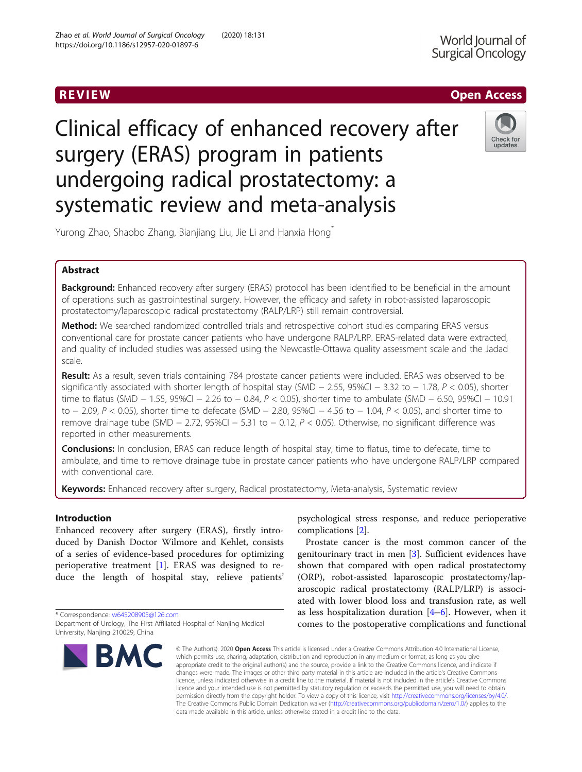# R EVI EW Open Access

# Clinical efficacy of enhanced recovery after surgery (ERAS) program in patients undergoing radical prostatectomy: a systematic review and meta-analysis



Yurong Zhao, Shaobo Zhang, Bianjiang Liu, Jie Li and Hanxia Hong<sup>\*</sup>

# Abstract

Background: Enhanced recovery after surgery (ERAS) protocol has been identified to be beneficial in the amount of operations such as gastrointestinal surgery. However, the efficacy and safety in robot-assisted laparoscopic prostatectomy/laparoscopic radical prostatectomy (RALP/LRP) still remain controversial.

Method: We searched randomized controlled trials and retrospective cohort studies comparing ERAS versus conventional care for prostate cancer patients who have undergone RALP/LRP. ERAS-related data were extracted, and quality of included studies was assessed using the Newcastle-Ottawa quality assessment scale and the Jadad scale.

Result: As a result, seven trials containing 784 prostate cancer patients were included. ERAS was observed to be significantly associated with shorter length of hospital stay (SMD  $-$  2.55, 95%CI  $-$  3.32 to  $-$  1.78,  $P$  < 0.05), shorter time to flatus (SMD − 1.55, 95%CI − 2.26 to − 0.84, P < 0.05), shorter time to ambulate (SMD − 6.50, 95%CI − 10.91 to − 2.09, P < 0.05), shorter time to defecate (SMD − 2.80, 95%CI − 4.56 to − 1.04, P < 0.05), and shorter time to remove drainage tube (SMD − 2.72, 95%CI − 5.31 to − 0.12, P < 0.05). Otherwise, no significant difference was reported in other measurements.

**Conclusions:** In conclusion, ERAS can reduce length of hospital stay, time to flatus, time to defecate, time to ambulate, and time to remove drainage tube in prostate cancer patients who have undergone RALP/LRP compared with conventional care.

Keywords: Enhanced recovery after surgery, Radical prostatectomy, Meta-analysis, Systematic review

# Introduction

Enhanced recovery after surgery (ERAS), firstly introduced by Danish Doctor Wilmore and Kehlet, consists of a series of evidence-based procedures for optimizing perioperative treatment [[1](#page-5-0)]. ERAS was designed to reduce the length of hospital stay, relieve patients'

\* Correspondence: [w645208905@126.com](mailto:w645208905@126.com) Department of Urology, The First Affiliated Hospital of Nanjing Medical University, Nanjing 210029, China



psychological stress response, and reduce perioperative complications [[2\]](#page-5-0).

Prostate cancer is the most common cancer of the genitourinary tract in men [[3\]](#page-5-0). Sufficient evidences have shown that compared with open radical prostatectomy (ORP), robot-assisted laparoscopic prostatectomy/laparoscopic radical prostatectomy (RALP/LRP) is associated with lower blood loss and transfusion rate, as well as less hospitalization duration  $[4-6]$  $[4-6]$  $[4-6]$  $[4-6]$ . However, when it comes to the postoperative complications and functional

© The Author(s), 2020 **Open Access** This article is licensed under a Creative Commons Attribution 4.0 International License, which permits use, sharing, adaptation, distribution and reproduction in any medium or format, as long as you give appropriate credit to the original author(s) and the source, provide a link to the Creative Commons licence, and indicate if changes were made. The images or other third party material in this article are included in the article's Creative Commons licence, unless indicated otherwise in a credit line to the material. If material is not included in the article's Creative Commons licence and your intended use is not permitted by statutory regulation or exceeds the permitted use, you will need to obtain permission directly from the copyright holder. To view a copy of this licence, visit [http://creativecommons.org/licenses/by/4.0/.](http://creativecommons.org/licenses/by/4.0/) The Creative Commons Public Domain Dedication waiver [\(http://creativecommons.org/publicdomain/zero/1.0/](http://creativecommons.org/publicdomain/zero/1.0/)) applies to the data made available in this article, unless otherwise stated in a credit line to the data.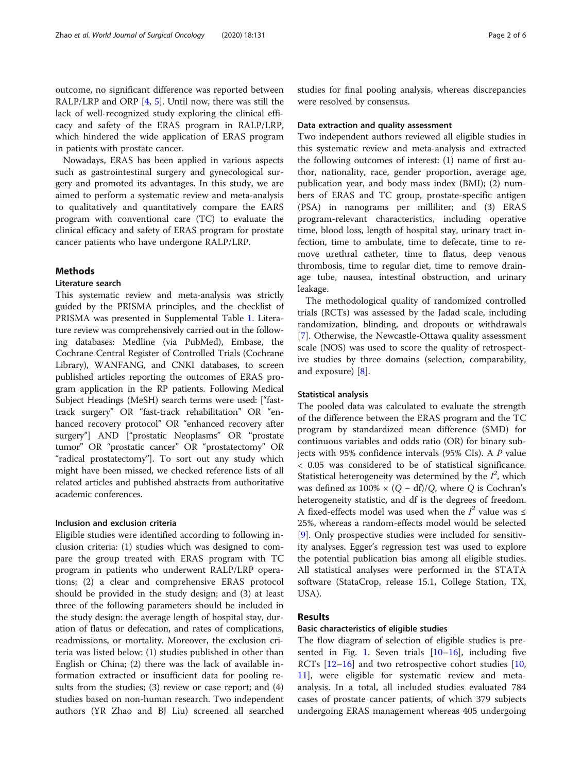outcome, no significant difference was reported between RALP/LRP and ORP [[4,](#page-5-0) [5\]](#page-5-0). Until now, there was still the lack of well-recognized study exploring the clinical efficacy and safety of the ERAS program in RALP/LRP, which hindered the wide application of ERAS program in patients with prostate cancer.

Nowadays, ERAS has been applied in various aspects such as gastrointestinal surgery and gynecological surgery and promoted its advantages. In this study, we are aimed to perform a systematic review and meta-analysis to qualitatively and quantitatively compare the EARS program with conventional care (TC) to evaluate the clinical efficacy and safety of ERAS program for prostate cancer patients who have undergone RALP/LRP.

# Methods

## Literature search

This systematic review and meta-analysis was strictly guided by the PRISMA principles, and the checklist of PRISMA was presented in Supplemental Table [1](#page-5-0). Literature review was comprehensively carried out in the following databases: Medline (via PubMed), Embase, the Cochrane Central Register of Controlled Trials (Cochrane Library), WANFANG, and CNKI databases, to screen published articles reporting the outcomes of ERAS program application in the RP patients. Following Medical Subject Headings (MeSH) search terms were used: ["fasttrack surgery" OR "fast-track rehabilitation" OR "enhanced recovery protocol" OR "enhanced recovery after surgery"] AND ["prostatic Neoplasms" OR "prostate tumor" OR "prostatic cancer" OR "prostatectomy" OR "radical prostatectomy"]. To sort out any study which might have been missed, we checked reference lists of all related articles and published abstracts from authoritative academic conferences.

# Inclusion and exclusion criteria

Eligible studies were identified according to following inclusion criteria: (1) studies which was designed to compare the group treated with ERAS program with TC program in patients who underwent RALP/LRP operations; (2) a clear and comprehensive ERAS protocol should be provided in the study design; and (3) at least three of the following parameters should be included in the study design: the average length of hospital stay, duration of flatus or defecation, and rates of complications, readmissions, or mortality. Moreover, the exclusion criteria was listed below: (1) studies published in other than English or China; (2) there was the lack of available information extracted or insufficient data for pooling results from the studies; (3) review or case report; and (4) studies based on non-human research. Two independent authors (YR Zhao and BJ Liu) screened all searched studies for final pooling analysis, whereas discrepancies were resolved by consensus.

## Data extraction and quality assessment

Two independent authors reviewed all eligible studies in this systematic review and meta-analysis and extracted the following outcomes of interest: (1) name of first author, nationality, race, gender proportion, average age, publication year, and body mass index (BMI); (2) numbers of ERAS and TC group, prostate-specific antigen (PSA) in nanograms per milliliter; and (3) ERAS program-relevant characteristics, including operative time, blood loss, length of hospital stay, urinary tract infection, time to ambulate, time to defecate, time to remove urethral catheter, time to flatus, deep venous thrombosis, time to regular diet, time to remove drainage tube, nausea, intestinal obstruction, and urinary leakage.

The methodological quality of randomized controlled trials (RCTs) was assessed by the Jadad scale, including randomization, blinding, and dropouts or withdrawals [[7\]](#page-5-0). Otherwise, the Newcastle-Ottawa quality assessment scale (NOS) was used to score the quality of retrospective studies by three domains (selection, comparability, and exposure) [[8\]](#page-5-0).

# Statistical analysis

The pooled data was calculated to evaluate the strength of the difference between the ERAS program and the TC program by standardized mean difference (SMD) for continuous variables and odds ratio (OR) for binary subjects with 95% confidence intervals (95% CIs). A P value < 0.05 was considered to be of statistical significance. Statistical heterogeneity was determined by the  $I^2$ , which was defined as  $100\% \times (Q - df)/Q$ , where Q is Cochran's heterogeneity statistic, and df is the degrees of freedom. A fixed-effects model was used when the  $I^2$  value was  $\leq$ 25%, whereas a random-effects model would be selected [[9\]](#page-5-0). Only prospective studies were included for sensitivity analyses. Egger's regression test was used to explore the potential publication bias among all eligible studies. All statistical analyses were performed in the STATA software (StataCrop, release 15.1, College Station, TX, USA).

# Results

## Basic characteristics of eligible studies

The flow diagram of selection of eligible studies is pre-sented in Fig. [1](#page-2-0). Seven trials  $[10-16]$  $[10-16]$  $[10-16]$ , including five RCTs [[12](#page-5-0)–[16](#page-5-0)] and two retrospective cohort studies [[10](#page-5-0), [11\]](#page-5-0), were eligible for systematic review and metaanalysis. In a total, all included studies evaluated 784 cases of prostate cancer patients, of which 379 subjects undergoing ERAS management whereas 405 undergoing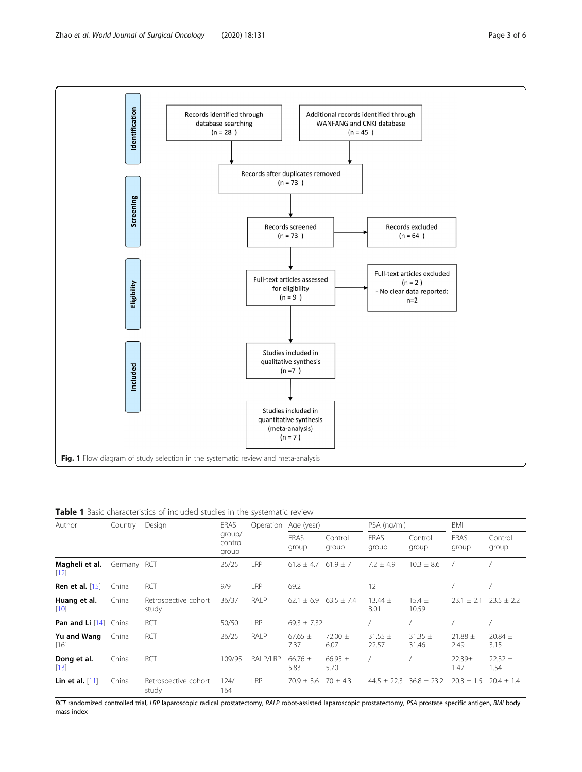<span id="page-2-0"></span>

Table 1 Basic characteristics of included studies in the systematic review

| Author                              | Country     | Design                        | ERAS<br>group/<br>control<br>group | Operation | Age (year)          |                     | PSA (ng/ml)          |                      | <b>BMI</b>                 |                     |
|-------------------------------------|-------------|-------------------------------|------------------------------------|-----------|---------------------|---------------------|----------------------|----------------------|----------------------------|---------------------|
|                                     |             |                               |                                    |           | ERAS<br>group       | Control<br>group    | ERAS<br>group        | Control<br>group     | ERAS<br>group              | Control<br>group    |
| Magheli et al.<br>$\left[12\right]$ | Germany RCT |                               | 25/25                              | LRP       | $61.8 \pm 4.7$      | $61.9 \pm 7$        | $7.2 \pm 4.9$        | $10.3 \pm 8.6$       |                            |                     |
| <b>Ren et al.</b> [15]              | China       | <b>RCT</b>                    | 9/9                                | LRP       | 69.2                |                     | 12                   |                      |                            |                     |
| Huang et al.<br>$[10]$              | China       | Retrospective cohort<br>study | 36/37                              | RALP      | $62.1 + 6.9$        | $63.5 \pm 7.4$      | $13.44 \pm$<br>8.01  | $15.4 \pm$<br>10.59  | 23.1<br>$+2.1$             | $23.5 + 2.2$        |
| Pan and Li $[14]$                   | China       | <b>RCT</b>                    | 50/50                              | LRP       | $69.3 \pm 7.32$     |                     |                      |                      |                            |                     |
| Yu and Wang<br>$[16]$               | China       | <b>RCT</b>                    | 26/25                              | RALP      | $67.65 \pm$<br>7.37 | 72.00 $\pm$<br>6.07 | $31.55 \pm$<br>22.57 | $31.35 \pm$<br>31.46 | $21.88 \pm$<br>2.49        | 20.84 $\pm$<br>3.15 |
| Dong et al.<br>$[13]$               | China       | <b>RCT</b>                    | 109/95                             | RALP/LRP  | 66.76 $\pm$<br>5.83 | 66.95 $\pm$<br>5.70 |                      |                      | 22.39 <sub>±</sub><br>1.47 | $22.32 \pm$<br>1.54 |
| Lin et al. $[11]$                   | China       | Retrospective cohort<br>study | 124/<br>164                        | LRP       | $70.9 \pm 3.6$      | $70 + 4.3$          | $44.5 + 22.3$        | $36.8 \pm 23.2$      | $20.3 \pm 1.5$             | $20.4 \pm 1.4$      |

RCT randomized controlled trial, LRP laparoscopic radical prostatectomy, RALP robot-assisted laparoscopic prostatectomy, PSA prostate specific antigen, BMI body mass index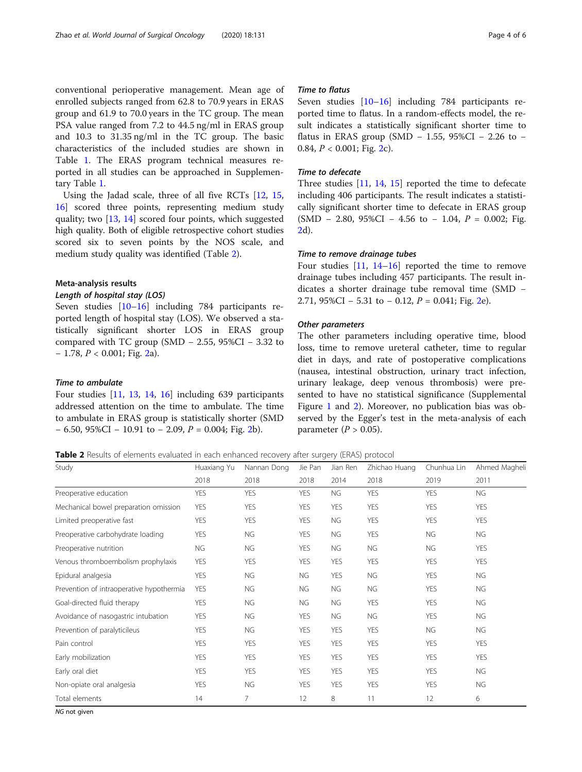conventional perioperative management. Mean age of enrolled subjects ranged from 62.8 to 70.9 years in ERAS group and 61.9 to 70.0 years in the TC group. The mean PSA value ranged from 7.2 to 44.5 ng/ml in ERAS group and 10.3 to 31.35 ng/ml in the TC group. The basic characteristics of the included studies are shown in Table [1.](#page-2-0) The ERAS program technical measures reported in all studies can be approached in Supplementary Table [1](#page-5-0).

Using the Jadad scale, three of all five RCTs [\[12](#page-5-0), [15](#page-5-0), [16\]](#page-5-0) scored three points, representing medium study quality; two [\[13](#page-5-0), [14](#page-5-0)] scored four points, which suggested high quality. Both of eligible retrospective cohort studies scored six to seven points by the NOS scale, and medium study quality was identified (Table 2).

# Meta-analysis results

## Length of hospital stay (LOS)

Seven studies [\[10](#page-5-0)–[16\]](#page-5-0) including 784 participants reported length of hospital stay (LOS). We observed a statistically significant shorter LOS in ERAS group compared with TC group (SMD – 2.55, 95%CI – 3.32 to − 1.78, P < 0.001; Fig. [2](#page-4-0)a).

# Time to ambulate

Four studies [[11,](#page-5-0) [13,](#page-5-0) [14,](#page-5-0) [16\]](#page-5-0) including 639 participants addressed attention on the time to ambulate. The time to ambulate in ERAS group is statistically shorter (SMD  $-6.50$ , 95%CI  $-10.91$  to  $-2.09$  $-2.09$  $-2.09$ ,  $P = 0.004$ ; Fig. 2b).

# Time to flatus

Seven studies [\[10](#page-5-0)–[16\]](#page-5-0) including 784 participants reported time to flatus. In a random-effects model, the result indicates a statistically significant shorter time to flatus in ERAS group (SMD – 1.55, 95%CI – 2.26 to – 0.84,  $P < 0.001$ ; Fig. [2c](#page-4-0)).

## Time to defecate

Three studies [[11,](#page-5-0) [14](#page-5-0), [15](#page-5-0)] reported the time to defecate including 406 participants. The result indicates a statistically significant shorter time to defecate in ERAS group  $(SMD - 2.80, 95\%CI - 4.56$  to  $- 1.04, P = 0.002$ ; Fig. [2d](#page-4-0)).

# Time to remove drainage tubes

Four studies [[11,](#page-5-0) [14](#page-5-0)–[16](#page-5-0)] reported the time to remove drainage tubes including 457 participants. The result indicates a shorter drainage tube removal time (SMD − 2.71, 95%CI – 5.31 to – 0.12,  $P = 0.041$ ; Fig. [2e](#page-4-0)).

# Other parameters

The other parameters including operative time, blood loss, time to remove ureteral catheter, time to regular diet in days, and rate of postoperative complications (nausea, intestinal obstruction, urinary tract infection, urinary leakage, deep venous thrombosis) were presented to have no statistical significance (Supplemental Figure [1](#page-5-0) and [2\)](#page-5-0). Moreover, no publication bias was observed by the Egger's test in the meta-analysis of each parameter ( $P > 0.05$ ).

| Table 2 Results of elements evaluated in each enhanced recovery after surgery (ERAS) protocol |  |
|-----------------------------------------------------------------------------------------------|--|
|-----------------------------------------------------------------------------------------------|--|

| Study                                    | Huaxiang Yu | Nannan Dong | Jie Pan    | Jian Ren   | Zhichao Huang | Chunhua Lin | Ahmed Magheli |
|------------------------------------------|-------------|-------------|------------|------------|---------------|-------------|---------------|
|                                          | 2018        | 2018        | 2018       | 2014       | 2018          | 2019        | 2011          |
| Preoperative education                   | <b>YES</b>  | <b>YES</b>  | <b>YES</b> | NG         | <b>YES</b>    | <b>YES</b>  | <b>NG</b>     |
| Mechanical bowel preparation omission    | <b>YES</b>  | <b>YES</b>  | <b>YES</b> | <b>YES</b> | <b>YES</b>    | <b>YES</b>  | <b>YES</b>    |
| Limited preoperative fast                | <b>YES</b>  | <b>YES</b>  | <b>YES</b> | NG         | <b>YES</b>    | <b>YES</b>  | <b>YES</b>    |
| Preoperative carbohydrate loading        | <b>YES</b>  | NG          | <b>YES</b> | NG         | <b>YES</b>    | <b>NG</b>   | <b>NG</b>     |
| Preoperative nutrition                   | NG          | NG          | <b>YES</b> | <b>NG</b>  | NG            | <b>NG</b>   | <b>YES</b>    |
| Venous thromboembolism prophylaxis       | <b>YES</b>  | <b>YES</b>  | <b>YES</b> | <b>YES</b> | <b>YES</b>    | <b>YES</b>  | <b>YES</b>    |
| Epidural analgesia                       | <b>YES</b>  | <b>NG</b>   | <b>NG</b>  | <b>YES</b> | NG            | <b>YES</b>  | NG            |
| Prevention of intraoperative hypothermia | <b>YES</b>  | NG          | NG         | NG         | NG            | <b>YES</b>  | NG            |
| Goal-directed fluid therapy              | <b>YES</b>  | NG          | NG         | <b>NG</b>  | <b>YES</b>    | <b>YES</b>  | NG            |
| Avoidance of nasogastric intubation      | <b>YES</b>  | NG          | <b>YES</b> | NG         | NG            | <b>YES</b>  | <b>NG</b>     |
| Prevention of paralyticileus             | <b>YES</b>  | NG          | <b>YES</b> | <b>YES</b> | <b>YES</b>    | <b>NG</b>   | NG            |
| Pain control                             | <b>YES</b>  | <b>YES</b>  | <b>YES</b> | <b>YES</b> | <b>YES</b>    | <b>YES</b>  | <b>YES</b>    |
| Early mobilization                       | <b>YES</b>  | <b>YES</b>  | <b>YES</b> | <b>YES</b> | <b>YES</b>    | <b>YES</b>  | <b>YES</b>    |
| Early oral diet                          | <b>YES</b>  | <b>YES</b>  | <b>YES</b> | <b>YES</b> | <b>YES</b>    | <b>YES</b>  | NG            |
| Non-opiate oral analgesia                | <b>YES</b>  | NG          | <b>YES</b> | <b>YES</b> | <b>YES</b>    | <b>YES</b>  | <b>NG</b>     |
| Total elements                           | 14          | 7           | 12         | 8          | 11            | 12          | 6             |

NG not given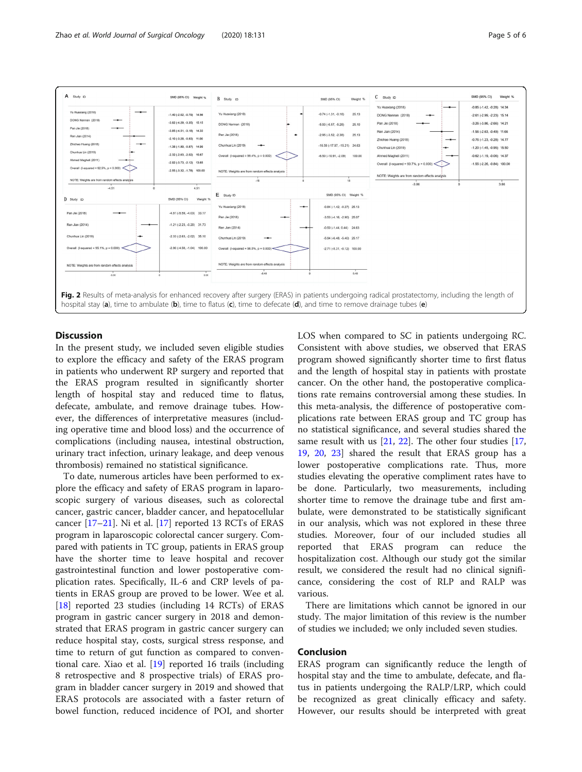<span id="page-4-0"></span>

# **Discussion**

In the present study, we included seven eligible studies to explore the efficacy and safety of the ERAS program in patients who underwent RP surgery and reported that the ERAS program resulted in significantly shorter length of hospital stay and reduced time to flatus, defecate, ambulate, and remove drainage tubes. However, the differences of interpretative measures (including operative time and blood loss) and the occurrence of complications (including nausea, intestinal obstruction, urinary tract infection, urinary leakage, and deep venous thrombosis) remained no statistical significance.

To date, numerous articles have been performed to explore the efficacy and safety of ERAS program in laparoscopic surgery of various diseases, such as colorectal cancer, gastric cancer, bladder cancer, and hepatocellular cancer [[17](#page-5-0)–[21](#page-5-0)]. Ni et al. [[17\]](#page-5-0) reported 13 RCTs of ERAS program in laparoscopic colorectal cancer surgery. Compared with patients in TC group, patients in ERAS group have the shorter time to leave hospital and recover gastrointestinal function and lower postoperative complication rates. Specifically, IL-6 and CRP levels of patients in ERAS group are proved to be lower. Wee et al. [[18\]](#page-5-0) reported 23 studies (including 14 RCTs) of ERAS program in gastric cancer surgery in 2018 and demonstrated that ERAS program in gastric cancer surgery can reduce hospital stay, costs, surgical stress response, and time to return of gut function as compared to conventional care. Xiao et al. [\[19](#page-5-0)] reported 16 trails (including 8 retrospective and 8 prospective trials) of ERAS program in bladder cancer surgery in 2019 and showed that ERAS protocols are associated with a faster return of bowel function, reduced incidence of POI, and shorter LOS when compared to SC in patients undergoing RC. Consistent with above studies, we observed that ERAS program showed significantly shorter time to first flatus and the length of hospital stay in patients with prostate cancer. On the other hand, the postoperative complications rate remains controversial among these studies. In this meta-analysis, the difference of postoperative complications rate between ERAS group and TC group has no statistical significance, and several studies shared the same result with us  $[21, 22]$  $[21, 22]$  $[21, 22]$ . The other four studies  $[17, 12]$  $[17, 12]$  $[17, 12]$ [19,](#page-5-0) [20,](#page-5-0) [23](#page-5-0)] shared the result that ERAS group has a lower postoperative complications rate. Thus, more studies elevating the operative compliment rates have to be done. Particularly, two measurements, including shorter time to remove the drainage tube and first ambulate, were demonstrated to be statistically significant in our analysis, which was not explored in these three studies. Moreover, four of our included studies all reported that ERAS program can reduce the hospitalization cost. Although our study got the similar result, we considered the result had no clinical significance, considering the cost of RLP and RALP was various.

There are limitations which cannot be ignored in our study. The major limitation of this review is the number of studies we included; we only included seven studies.

# Conclusion

ERAS program can significantly reduce the length of hospital stay and the time to ambulate, defecate, and flatus in patients undergoing the RALP/LRP, which could be recognized as great clinically efficacy and safety. However, our results should be interpreted with great